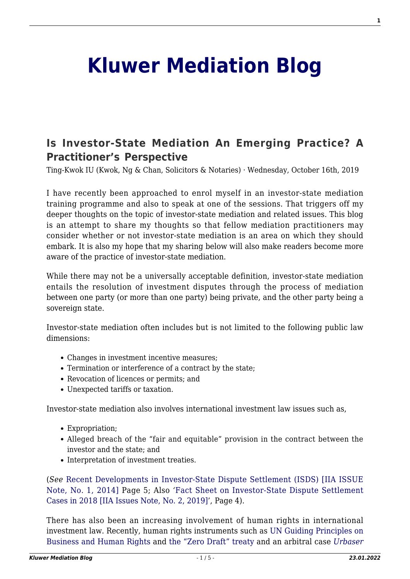## **[Kluwer Mediation Blog](http://mediationblog.kluwerarbitration.com/)**

## **[Is Investor-State Mediation An Emerging Practice? A](http://mediationblog.kluwerarbitration.com/2019/10/16/is-investor-state-mediation-an-emerging-practice-a-practitioners-perspective/) [Practitioner's Perspective](http://mediationblog.kluwerarbitration.com/2019/10/16/is-investor-state-mediation-an-emerging-practice-a-practitioners-perspective/)**

Ting-Kwok IU (Kwok, Ng & Chan, Solicitors & Notaries) · Wednesday, October 16th, 2019

I have recently been approached to enrol myself in an investor-state mediation training programme and also to speak at one of the sessions. That triggers off my deeper thoughts on the topic of investor-state mediation and related issues. This blog is an attempt to share my thoughts so that fellow mediation practitioners may consider whether or not investor-state mediation is an area on which they should embark. It is also my hope that my sharing below will also make readers become more aware of the practice of investor-state mediation.

While there may not be a universally acceptable definition, investor-state mediation entails the resolution of investment disputes through the process of mediation between one party (or more than one party) being private, and the other party being a sovereign state.

Investor-state mediation often includes but is not limited to the following public law dimensions:

- Changes in investment incentive measures;
- Termination or interference of a contract by the state;
- Revocation of licences or permits; and
- Unexpected tariffs or taxation.

Investor-state mediation also involves international investment law issues such as,

- Expropriation;
- Alleged breach of the "fair and equitable" provision in the contract between the investor and the state; and
- Interpretation of investment treaties.

(*See* [Recent Developments in Investor-State Dispute Settlement \(ISDS\) \[IIA ISSUE](https://unctad.org/en/PublicationsLibrary/webdiaepcb2014d3_en.pdf) [Note, No. 1, 2014\]](https://unctad.org/en/PublicationsLibrary/webdiaepcb2014d3_en.pdf) Page 5; Also *'*[Fact Sheet on Investor-State Dispute Settlement](https://unctad.org/en/PublicationsLibrary/diaepcbinf2019d4_en.pdf) [Cases in 2018 \[IIA Issues Note, No. 2, 2019\]](https://unctad.org/en/PublicationsLibrary/diaepcbinf2019d4_en.pdf)', Page 4).

There has also been an increasing involvement of human rights in international investment law. Recently, human rights instruments such as [UN Guiding Principles on](http://www.ohchr.org/Documents/Publications/GuidingPrinciplesBusinessHR_EN.pdf) [Business and Human Rights](http://www.ohchr.org/Documents/Publications/GuidingPrinciplesBusinessHR_EN.pdf) and [the "Zero Draft" treaty](https://www.ohchr.org/documents/hrbodies/hrcouncil/wgtranscorp/session3/draftlbi.pdf) and an arbitral case *[Urbaser](https://www.iisd.org/itn/2018/10/18/urbaser-v-argentina/)*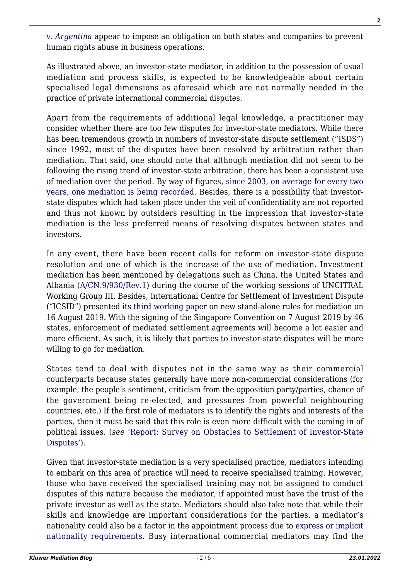*[v. Argentina](https://www.iisd.org/itn/2018/10/18/urbaser-v-argentina/)* appear to impose an obligation on both states and companies to prevent human rights abuse in business operations.

As illustrated above, an investor-state mediator, in addition to the possession of usual mediation and process skills, is expected to be knowledgeable about certain specialised legal dimensions as aforesaid which are not normally needed in the practice of private international commercial disputes.

Apart from the requirements of additional legal knowledge, a practitioner may consider whether there are too few disputes for investor-state mediators. While there has been tremendous growth in numbers of investor-state dispute settlement ("ISDS") since 1992, most of the disputes have been resolved by arbitration rather than mediation. That said, one should note that although mediation did not seem to be following the rising trend of investor-state arbitration, there has been a consistent use of mediation over the period. By way of figures, [since 2003, on average for every two](https://icsid.worldbank.org/en/Documents/resources/ICSID%20Web%20Stats%202019-1(English).pdf) [years, one mediation is being recorded](https://icsid.worldbank.org/en/Documents/resources/ICSID%20Web%20Stats%202019-1(English).pdf). Besides, there is a possibility that investorstate disputes which had taken place under the veil of confidentiality are not reported and thus not known by outsiders resulting in the impression that investor-state mediation is the less preferred means of resolving disputes between states and investors.

In any event, there have been recent calls for reform on investor-state dispute resolution and one of which is the increase of the use of mediation. Investment mediation has been mentioned by delegations such as China, the United States and Albania [\(A/CN.9/930/Rev.1\)](https://undocs.org/en/A/CN.9/930/Rev.1) during the course of the working sessions of UNCITRAL Working Group III. Besides, International Centre for Settlement of Investment Dispute ("ICSID") presented its [third working paper](https://icsid.worldbank.org/en/Pages/News.aspx?CID=336) on new stand-alone rules for mediation on 16 August 2019. With the signing of the Singapore Convention on 7 August 2019 by 46 states, enforcement of mediated settlement agreements will become a lot easier and more efficient. As such, it is likely that parties to investor-state disputes will be more willing to go for mediation.

States tend to deal with disputes not in the same way as their commercial counterparts because states generally have more non-commercial considerations (for example, the people's sentiment, criticism from the opposition party/parties, chance of the government being re-elected, and pressures from powerful neighbouring countries, etc.) If the first role of mediators is to identify the rights and interests of the parties, then it must be said that this role is even more difficult with the coming in of political issues. (*see* '[Report: Survey on Obstacles to Settlement of Investor-State](https://cil.nus.edu.sg/publication/survey-on-obstacles-to-settlement-of-investor-state-disputes/) [Disputes'\)](https://cil.nus.edu.sg/publication/survey-on-obstacles-to-settlement-of-investor-state-disputes/).

Given that investor-state mediation is a very specialised practice, mediators intending to embark on this area of practice will need to receive specialised training. However, those who have received the specialised training may not be assigned to conduct disputes of this nature because the mediator, if appointed must have the trust of the private investor as well as the state. Mediators should also take note that while their skills and knowledge are important considerations for the parties, a mediator's nationality could also be a factor in the appointment process due to [express or implicit](https://icsid.worldbank.org/en/Pages/arbitrators/How-to-Become-an-ICSID-Arbitrator-Conciliator-and-Committee-Member.aspx) [nationality requirements](https://icsid.worldbank.org/en/Pages/arbitrators/How-to-Become-an-ICSID-Arbitrator-Conciliator-and-Committee-Member.aspx). Busy international commercial mediators may find the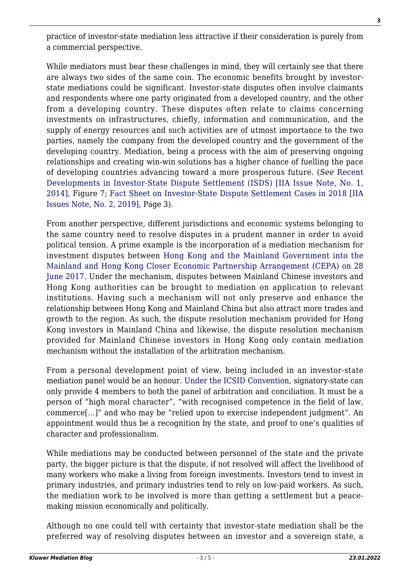practice of investor-state mediation less attractive if their consideration is purely from a commercial perspective.

While mediators must bear these challenges in mind, they will certainly see that there are always two sides of the same coin. The economic benefits brought by investorstate mediations could be significant. Investor-state disputes often involve claimants and respondents where one party originated from a developed country, and the other from a developing country. These disputes often relate to claims concerning investments on infrastructures, chiefly, information and communication, and the supply of energy resources and such activities are of utmost importance to the two parties, namely the company from the developed country and the government of the developing country. Mediation, being a process with the aim of preserving ongoing relationships and creating win-win solutions has a higher chance of fuelling the pace of developing countries advancing toward a more prosperous future. (*See* [Recent](https://unctad.org/en/PublicationsLibrary/webdiaepcb2014d3_en.pdf) [Developments in Investor-State Dispute Settlement \(ISDS\) \[IIA Issue Note, No. 1,](https://unctad.org/en/PublicationsLibrary/webdiaepcb2014d3_en.pdf) [2014\],](https://unctad.org/en/PublicationsLibrary/webdiaepcb2014d3_en.pdf) Figure 7; [Fact Sheet on Investor-State Dispute Settlement Cases in 2018 \[IIA](https://unctad.org/en/PublicationsLibrary/diaepcbinf2019d4_en.pdf) [Issues Note, No. 2, 2019\],](https://unctad.org/en/PublicationsLibrary/diaepcbinf2019d4_en.pdf) Page 3).

From another perspective, different jurisdictions and economic systems belonging to the same country need to resolve disputes in a prudent manner in order to avoid political tension. A prime example is the incorporation of a mediation mechanism for investment disputes between [Hong Kong and the Mainland Government into the](https://www.tid.gov.hk/english/cepa/legaltext/cepa14.html) [Mainland and Hong Kong Closer Economic Partnership Arrangement \(CEPA\) on 28](https://www.tid.gov.hk/english/cepa/legaltext/cepa14.html) [June 2017](https://www.tid.gov.hk/english/cepa/legaltext/cepa14.html). Under the mechanism, disputes between Mainland Chinese investors and Hong Kong authorities can be brought to mediation on application to relevant institutions. Having such a mechanism will not only preserve and enhance the relationship between Hong Kong and Mainland China but also attract more trades and growth to the region. As such, the dispute resolution mechanism provided for Hong Kong investors in Mainland China and likewise, the dispute resolution mechanism provided for Mainland Chinese investors in Hong Kong only contain mediation mechanism without the installation of the arbitration mechanism.

From a personal development point of view, being included in an investor-state mediation panel would be an honour. [Under the ICSID Convention,](https://icsid.worldbank.org/en/Pages/arbitrators/How-to-Become-an-ICSID-Arbitrator-Conciliator-and-Committee-Member.aspx) signatory-state can only provide 4 members to both the panel of arbitration and conciliation. It must be a person of "high moral character", "with recognised competence in the field of law, commerce[…]" and who may be "relied upon to exercise independent judgment". An appointment would thus be a recognition by the state, and proof to one's qualities of character and professionalism.

While mediations may be conducted between personnel of the state and the private party, the bigger picture is that the dispute, if not resolved will affect the livelihood of many workers who make a living from foreign investments. Investors tend to invest in primary industries, and primary industries tend to rely on low-paid workers. As such, the mediation work to be involved is more than getting a settlement but a peacemaking mission economically and politically.

Although no one could tell with certainty that investor-state mediation shall be the preferred way of resolving disputes between an investor and a sovereign state, a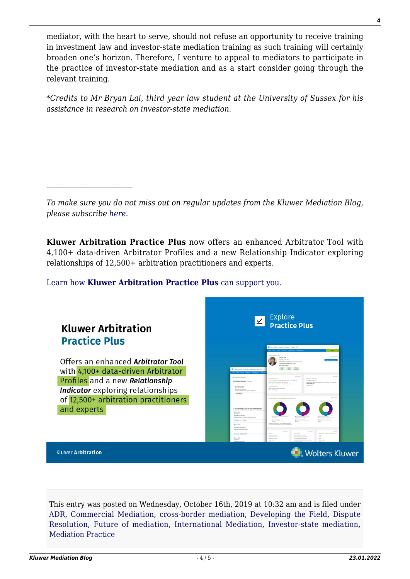mediator, with the heart to serve, should not refuse an opportunity to receive training in investment law and investor-state mediation training as such training will certainly broaden one's horizon. Therefore, I venture to appeal to mediators to participate in the practice of investor-state mediation and as a start consider going through the relevant training.

\**Credits to Mr Bryan Lai, third year law student at the University of Sussex for his assistance in research on investor-state mediation.*

*To make sure you do not miss out on regular updates from the Kluwer Mediation Blog, please subscribe [here.](http://mediationblog.kluwerarbitration.com/newsletter/)*

**Kluwer Arbitration Practice Plus** now offers an enhanced Arbitrator Tool with 4,100+ data-driven Arbitrator Profiles and a new Relationship Indicator exploring relationships of 12,500+ arbitration practitioners and experts.

## [Learn how](https://www.wolterskluwer.com/en/solutions/kluwerarbitration/practiceplus?utm_source=mediationblog&utm_medium=articleCTA&utm_campaign=article-banner) **[Kluwer Arbitration Practice Plus](https://www.wolterskluwer.com/en/solutions/kluwerarbitration/practiceplus?utm_source=mediationblog&utm_medium=articleCTA&utm_campaign=article-banner)** [can support you.](https://www.wolterskluwer.com/en/solutions/kluwerarbitration/practiceplus?utm_source=mediationblog&utm_medium=articleCTA&utm_campaign=article-banner)

| <b>Kluwer Arbitration</b><br><b>Practice Plus</b>                                                                                                       | Explore<br>$\overline{\underline{\checkmark}}$<br><b>Practice Plus</b><br>Wiles Goveri Kluwer Arbitration Practice Plats<br><b>Service</b>                                                                                                                                                                                                                                                                                                                                                                                                                                                                                                                                                                                                                                                                                                              |
|---------------------------------------------------------------------------------------------------------------------------------------------------------|---------------------------------------------------------------------------------------------------------------------------------------------------------------------------------------------------------------------------------------------------------------------------------------------------------------------------------------------------------------------------------------------------------------------------------------------------------------------------------------------------------------------------------------------------------------------------------------------------------------------------------------------------------------------------------------------------------------------------------------------------------------------------------------------------------------------------------------------------------|
| Offers an enhanced Arbitrator Tool<br>with 4,100+ data-driven Arbitrator<br>Profiles and a new Relationship<br><b>Indicator</b> exploring relationships | <b>Gary B. Barn</b><br><b>India</b> interface<br>problems as to actions insure freezes antine<br>expose of executives from themes<br>the kinsor dutching<br>Witten Kuwer Kluwer Arbitration Practice Plus<br><b>SAFEREERS</b><br>A Nimeter and N.A. Valuation do<br>ANY limit for turned<br><b>Corner post let's</b><br><b>Bachine Subsectionships of McMalay Delta-To</b><br><b>Grande Advertising</b><br>teletionship tedicates tool on<br>Return, Alliance Custom Photograph Bush and Bush Lis.<br><b>But administration Constitute</b><br>Firinite League (CAC)<br>through Policest of Law University of D. Sales, Selection<br>Listado unida<br><b>NOMES ENGINEER</b><br>By relationship<br>IN HOLASTA of Technology to the School<br>elinour y pesurenne<br><b>BL Namfurd Library</b><br>for reternations income where tendencer?<br>Sea K Fork X |
| of 12,500+ arbitration practitioners<br>and experts                                                                                                     | particular mortias and hard<br>7 Brooks front Donal as represides though<br>Gary 9, Oars<br><b>To-information</b><br>Associated by Gallery of<br><b>SALESY AND MELLE</b><br><b>RACKERS ON READ STA</b><br>Services<br><b>Secret</b><br><b>BUSINESS REQUIRED</b><br>Appricing party Separative Interest<br>Legal engineers faith applicable law<br>Serbry<br>Specialization<br><b>JOYCH N FEDERATION</b><br>Arrested & Salem<br><b>Metrolis digest trackle</b><br>Anima<br>Generald Groups<br><b>Audi</b><br>and was be promotion too<br><b>Banch Barn</b><br>connexial services<br>color<br>Business for the monetarity and                                                                                                                                                                                                                             |
| <b>Kluwer Arbitration</b>                                                                                                                               | to enning<br><b>STANDARD</b><br><b><i><u>Internet</u></i></b><br><b>Building column foot has be-</b><br><b>/olters Kluwer</b>                                                                                                                                                                                                                                                                                                                                                                                                                                                                                                                                                                                                                                                                                                                           |

This entry was posted on Wednesday, October 16th, 2019 at 10:32 am and is filed under [ADR,](http://mediationblog.kluwerarbitration.com/category/adr/) [Commercial Mediation,](http://mediationblog.kluwerarbitration.com/category/commercial-mediation/) [cross-border mediation,](http://mediationblog.kluwerarbitration.com/category/cross-border-mediation/) [Developing the Field,](http://mediationblog.kluwerarbitration.com/category/developing-the-field/) [Dispute](http://mediationblog.kluwerarbitration.com/category/dispute-resolution/) [Resolution,](http://mediationblog.kluwerarbitration.com/category/dispute-resolution/) [Future of mediation,](http://mediationblog.kluwerarbitration.com/category/future-of-mediation/) [International Mediation](http://mediationblog.kluwerarbitration.com/category/international-mediation/), [Investor-state mediation,](http://mediationblog.kluwerarbitration.com/category/investor-state-mediation/) [Mediation Practice](http://mediationblog.kluwerarbitration.com/category/mediation-practice/)